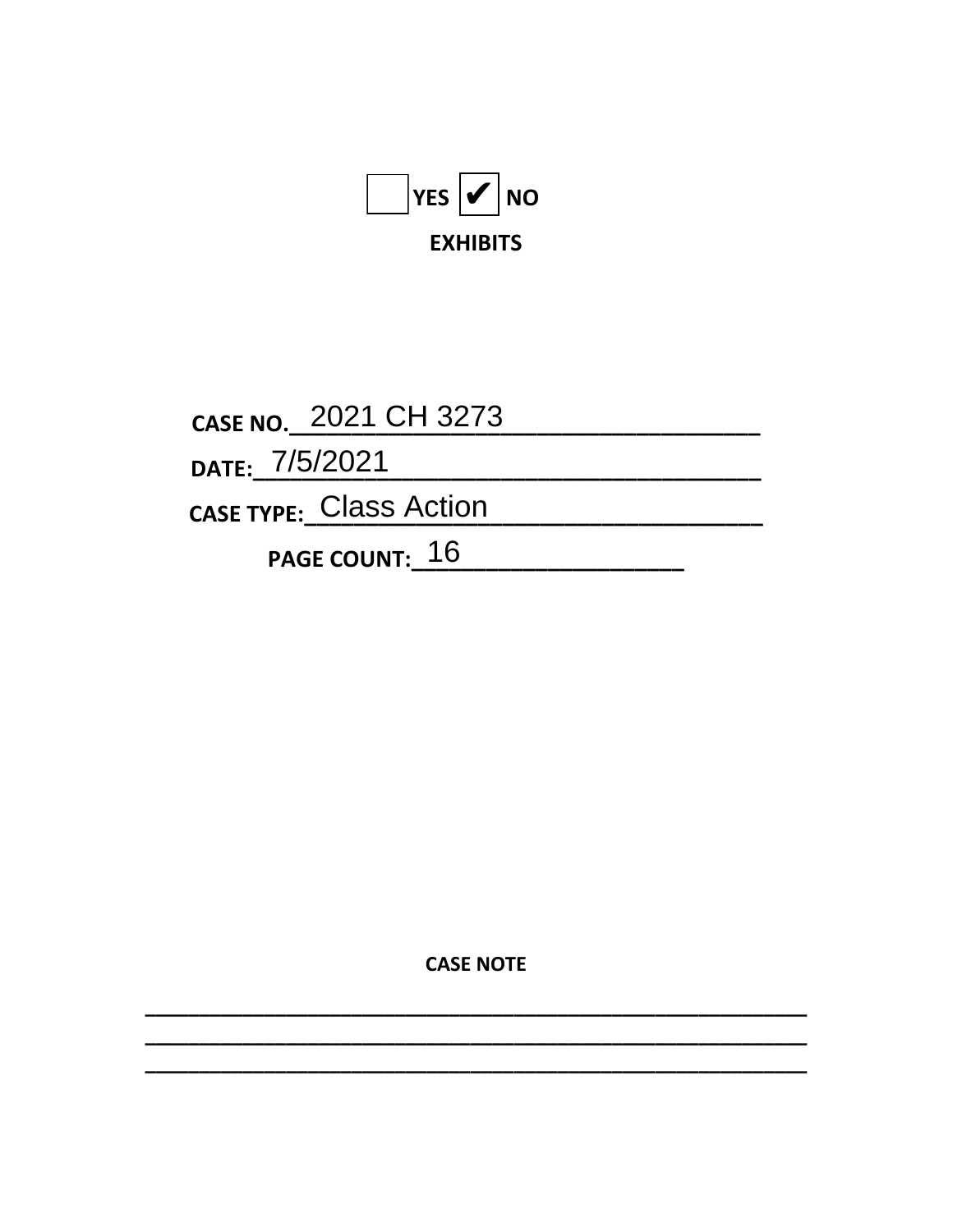

CASE NO. 2021 CH 3273 DATE: 7/5/2021 CASE TYPE: Class Action

PAGE COUNT: 16

**CASE NOTE**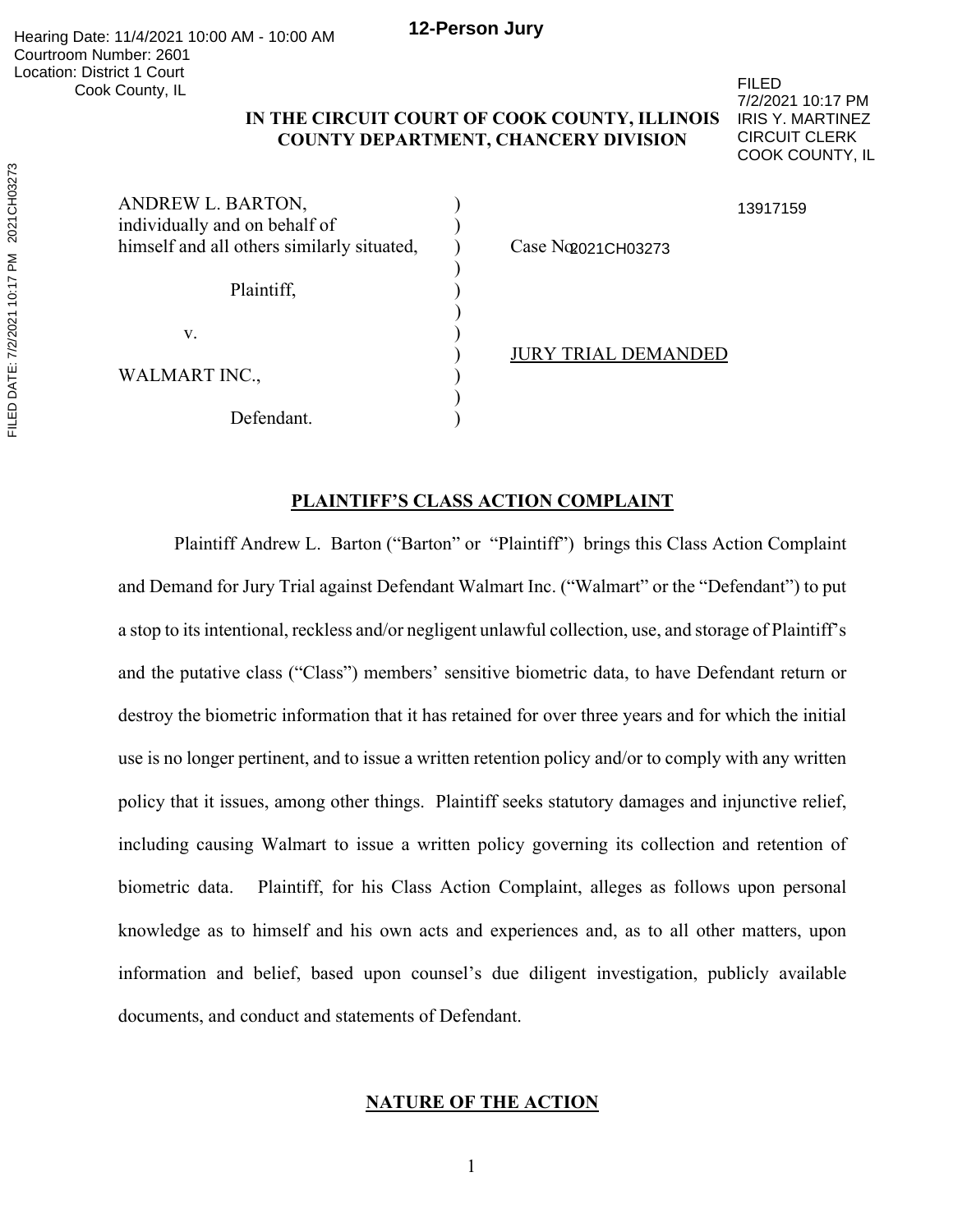# **IN THE CIRCUIT COURT OF COOK COUNTY, ILLINOIS COUNTY DEPARTMENT, CHANCERY DIVISION**

FILED 7/2/2021 10:17 PM IRIS Y. MARTINEZ CIRCUIT CLERK COOK COUNTY, IL

| ANDREW L. BARTON,<br>individually and on behalf of<br>himself and all others similarly situated, | Case No 2021 CH03273 |
|--------------------------------------------------------------------------------------------------|----------------------|
| Plaintiff,                                                                                       |                      |
| v.                                                                                               |                      |
| WALMART INC.,                                                                                    | <b>TRIALD</b>        |
|                                                                                                  |                      |

Defendant.

## 13917159

) JURY TRIAL DEMANDED

# **PLAINTIFF'S CLASS ACTION COMPLAINT**

Plaintiff Andrew L. Barton ("Barton" or "Plaintiff") brings this Class Action Complaint and Demand for Jury Trial against Defendant Walmart Inc. ("Walmart" or the "Defendant") to put a stop to its intentional, reckless and/or negligent unlawful collection, use, and storage of Plaintiff's and the putative class ("Class") members' sensitive biometric data, to have Defendant return or destroy the biometric information that it has retained for over three years and for which the initial use is no longer pertinent, and to issue a written retention policy and/or to comply with any written policy that it issues, among other things. Plaintiff seeks statutory damages and injunctive relief, including causing Walmart to issue a written policy governing its collection and retention of biometric data. Plaintiff, for his Class Action Complaint, alleges as follows upon personal knowledge as to himself and his own acts and experiences and, as to all other matters, upon information and belief, based upon counsel's due diligent investigation, publicly available documents, and conduct and statements of Defendant.

# **NATURE OF THE ACTION**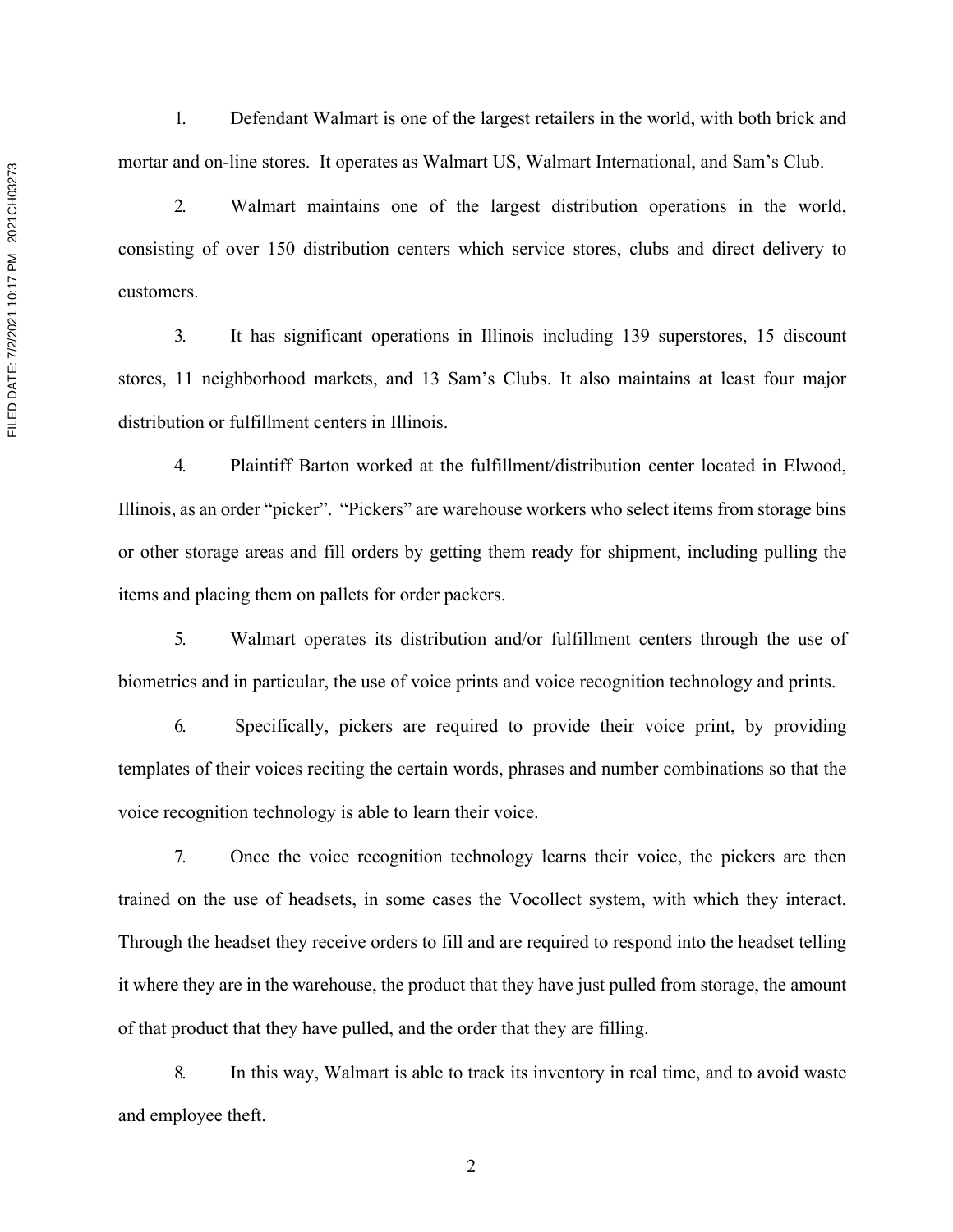1. Defendant Walmart is one of the largest retailers in the world, with both brick and mortar and on-line stores. It operates as Walmart US, Walmart International, and Sam's Club.

2. Walmart maintains one of the largest distribution operations in the world, consisting of over 150 distribution centers which service stores, clubs and direct delivery to customers.

3. It has significant operations in Illinois including 139 superstores, 15 discount stores, 11 neighborhood markets, and 13 Sam's Clubs. It also maintains at least four major distribution or fulfillment centers in Illinois.

4. Plaintiff Barton worked at the fulfillment/distribution center located in Elwood, Illinois, as an order "picker". "Pickers" are warehouse workers who select items from storage bins or other storage areas and fill orders by getting them ready for shipment, including pulling the items and placing them on pallets for order packers.

5. Walmart operates its distribution and/or fulfillment centers through the use of biometrics and in particular, the use of voice prints and voice recognition technology and prints.

6. Specifically, pickers are required to provide their voice print, by providing templates of their voices reciting the certain words, phrases and number combinations so that the voice recognition technology is able to learn their voice.

7. Once the voice recognition technology learns their voice, the pickers are then trained on the use of headsets, in some cases the Vocollect system, with which they interact. Through the headset they receive orders to fill and are required to respond into the headset telling it where they are in the warehouse, the product that they have just pulled from storage, the amount of that product that they have pulled, and the order that they are filling.

8. In this way, Walmart is able to track its inventory in real time, and to avoid waste and employee theft.

FILED DATE: 7/2/2021 10:17 PM 2021CH03273 FILED DATE: 7/2/2021 10:17 PM 2021CH03273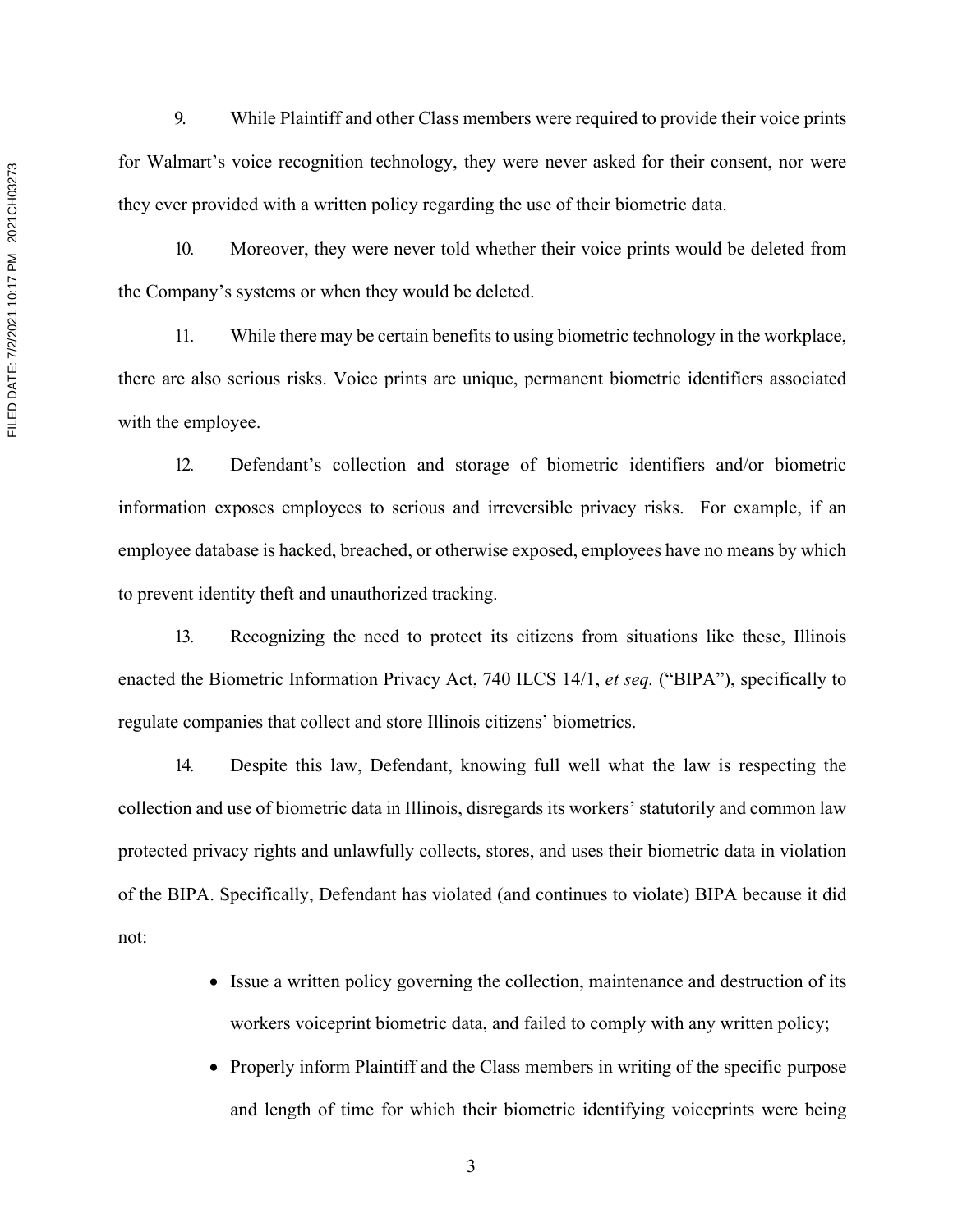9. While Plaintiff and other Class members were required to provide their voice prints for Walmart's voice recognition technology, they were never asked for their consent, nor were they ever provided with a written policy regarding the use of their biometric data.

10. Moreover, they were never told whether their voice prints would be deleted from the Company's systems or when they would be deleted.

11. While there may be certain benefits to using biometric technology in the workplace, there are also serious risks. Voice prints are unique, permanent biometric identifiers associated with the employee.

12. Defendant's collection and storage of biometric identifiers and/or biometric information exposes employees to serious and irreversible privacy risks. For example, if an employee database is hacked, breached, or otherwise exposed, employees have no means by which to prevent identity theft and unauthorized tracking.

13. Recognizing the need to protect its citizens from situations like these, Illinois enacted the Biometric Information Privacy Act, 740 ILCS 14/1, *et seq.* ("BIPA"), specifically to regulate companies that collect and store Illinois citizens' biometrics.

14. Despite this law, Defendant, knowing full well what the law is respecting the collection and use of biometric data in Illinois, disregards its workers' statutorily and common law protected privacy rights and unlawfully collects, stores, and uses their biometric data in violation of the BIPA. Specifically, Defendant has violated (and continues to violate) BIPA because it did not:

- Issue a written policy governing the collection, maintenance and destruction of its workers voiceprint biometric data, and failed to comply with any written policy;
- Properly inform Plaintiff and the Class members in writing of the specific purpose and length of time for which their biometric identifying voiceprints were being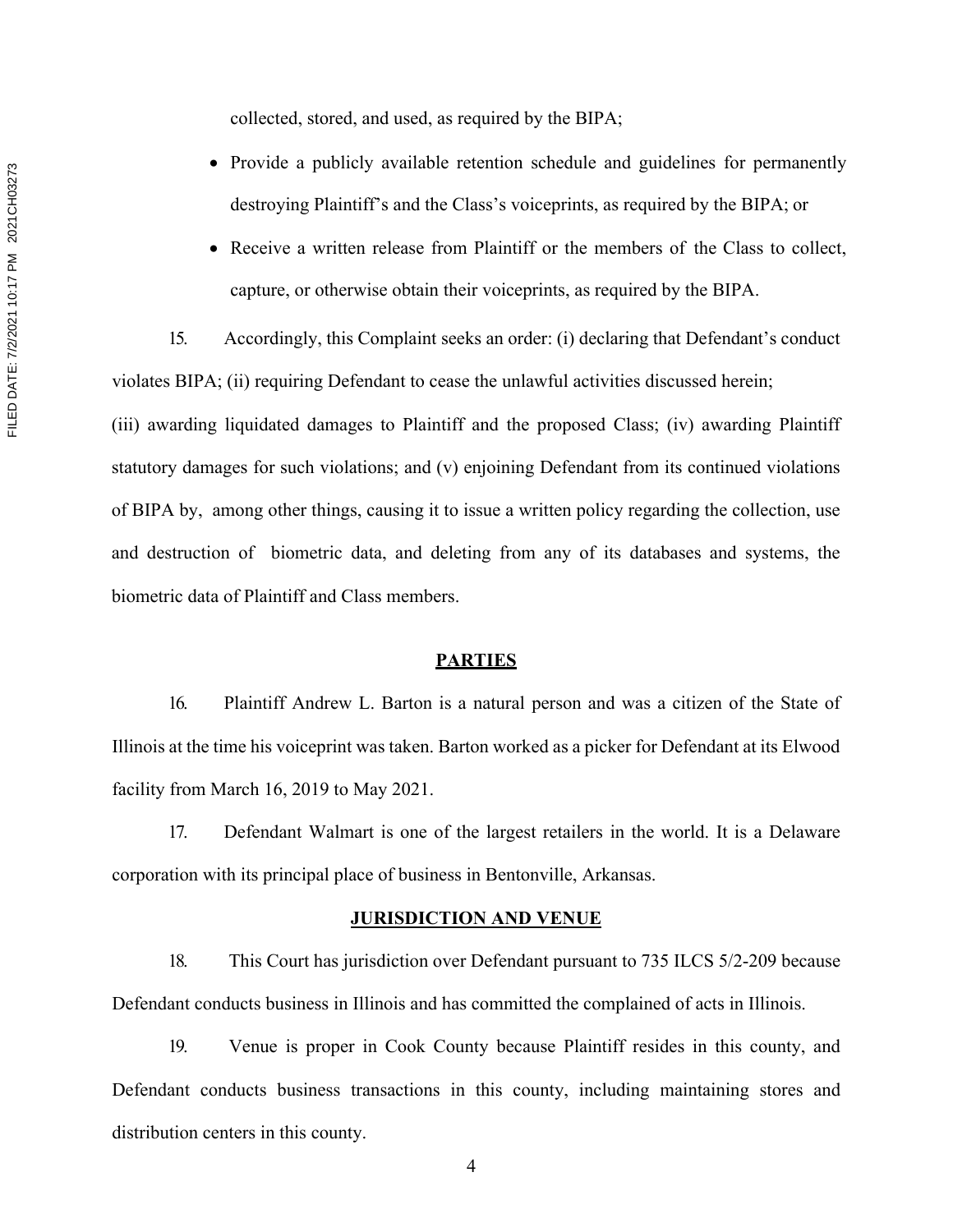collected, stored, and used, as required by the BIPA;

- Provide a publicly available retention schedule and guidelines for permanently destroying Plaintiff's and the Class's voiceprints, as required by the BIPA; or
- Receive a written release from Plaintiff or the members of the Class to collect, capture, or otherwise obtain their voiceprints, as required by the BIPA.

15. Accordingly, this Complaint seeks an order: (i) declaring that Defendant's conduct violates BIPA; (ii) requiring Defendant to cease the unlawful activities discussed herein;

(iii) awarding liquidated damages to Plaintiff and the proposed Class; (iv) awarding Plaintiff statutory damages for such violations; and (v) enjoining Defendant from its continued violations of BIPA by, among other things, causing it to issue a written policy regarding the collection, use and destruction of biometric data, and deleting from any of its databases and systems, the biometric data of Plaintiff and Class members.

## **PARTIES**

16. Plaintiff Andrew L. Barton is a natural person and was a citizen of the State of Illinois at the time his voiceprint was taken. Barton worked as a picker for Defendant at its Elwood facility from March 16, 2019 to May 2021.

17. Defendant Walmart is one of the largest retailers in the world. It is a Delaware corporation with its principal place of business in Bentonville, Arkansas.

## **JURISDICTION AND VENUE**

18. This Court has jurisdiction over Defendant pursuant to 735 ILCS 5/2-209 because Defendant conducts business in Illinois and has committed the complained of acts in Illinois.

19. Venue is proper in Cook County because Plaintiff resides in this county, and Defendant conducts business transactions in this county, including maintaining stores and distribution centers in this county.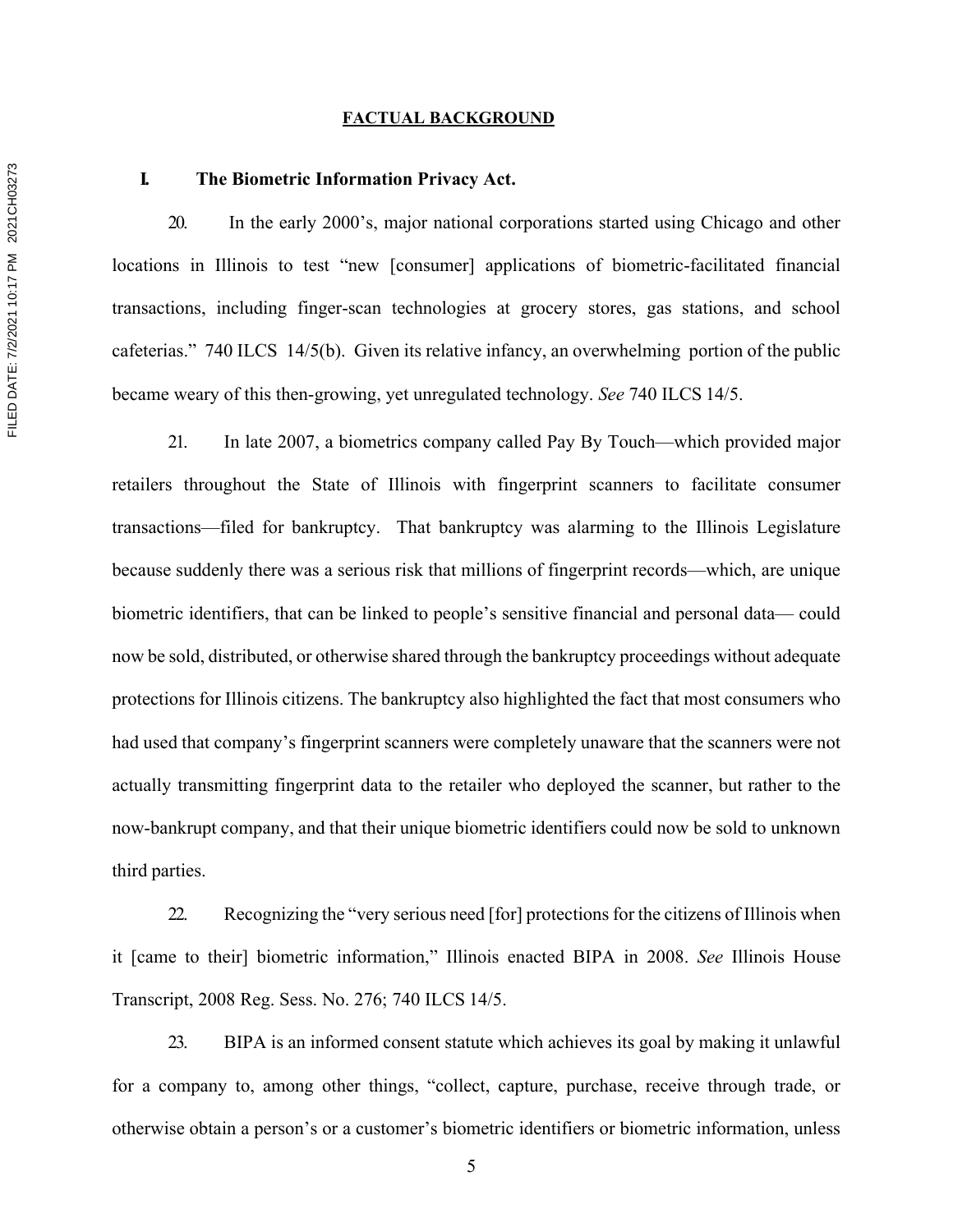#### **FACTUAL BACKGROUND**

## **I. The Biometric Information Privacy Act.**

20. In the early 2000's, major national corporations started using Chicago and other locations in Illinois to test "new [consumer] applications of biometric-facilitated financial transactions, including finger-scan technologies at grocery stores, gas stations, and school cafeterias." 740 ILCS 14/5(b). Given its relative infancy, an overwhelming portion of the public became weary of this then-growing, yet unregulated technology. *See* 740 ILCS 14/5.

21. In late 2007, a biometrics company called Pay By Touch—which provided major retailers throughout the State of Illinois with fingerprint scanners to facilitate consumer transactions—filed for bankruptcy. That bankruptcy was alarming to the Illinois Legislature because suddenly there was a serious risk that millions of fingerprint records—which, are unique biometric identifiers, that can be linked to people's sensitive financial and personal data— could now be sold, distributed, or otherwise shared through the bankruptcy proceedings without adequate protections for Illinois citizens. The bankruptcy also highlighted the fact that most consumers who had used that company's fingerprint scanners were completely unaware that the scanners were not actually transmitting fingerprint data to the retailer who deployed the scanner, but rather to the now-bankrupt company, and that their unique biometric identifiers could now be sold to unknown third parties.

22. Recognizing the "very serious need [for] protections for the citizens of Illinois when it [came to their] biometric information," Illinois enacted BIPA in 2008. *See* Illinois House Transcript, 2008 Reg. Sess. No. 276; 740 ILCS 14/5.

23. BIPA is an informed consent statute which achieves its goal by making it unlawful for a company to, among other things, "collect, capture, purchase, receive through trade, or otherwise obtain a person's or a customer's biometric identifiers or biometric information, unless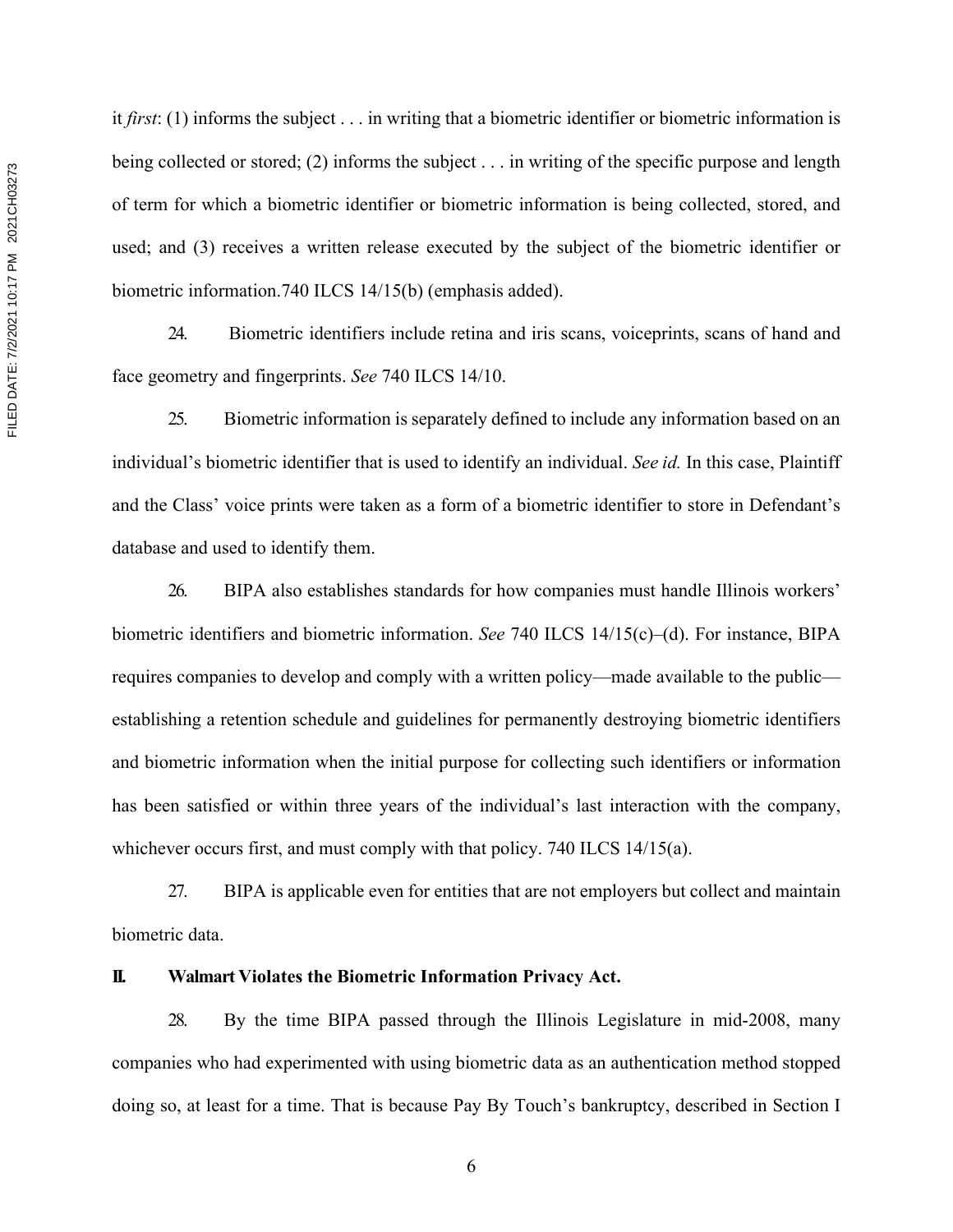it *first*: (1) informs the subject . . . in writing that a biometric identifier or biometric information is being collected or stored; (2) informs the subject . . . in writing of the specific purpose and length of term for which a biometric identifier or biometric information is being collected, stored, and used; and (3) receives a written release executed by the subject of the biometric identifier or biometric information.740 ILCS 14/15(b) (emphasis added).

24. Biometric identifiers include retina and iris scans, voiceprints, scans of hand and face geometry and fingerprints. *See* 740 ILCS 14/10.

25. Biometric information is separately defined to include any information based on an individual's biometric identifier that is used to identify an individual. *See id.* In this case, Plaintiff and the Class' voice prints were taken as a form of a biometric identifier to store in Defendant's database and used to identify them.

26. BIPA also establishes standards for how companies must handle Illinois workers' biometric identifiers and biometric information. *See* 740 ILCS 14/15(c)–(d). For instance, BIPA requires companies to develop and comply with a written policy—made available to the public establishing a retention schedule and guidelines for permanently destroying biometric identifiers and biometric information when the initial purpose for collecting such identifiers or information has been satisfied or within three years of the individual's last interaction with the company, whichever occurs first, and must comply with that policy. 740 ILCS 14/15(a).

27. BIPA is applicable even for entities that are not employers but collect and maintain biometric data.

### **II. Walmart Violates the Biometric Information Privacy Act.**

28. By the time BIPA passed through the Illinois Legislature in mid-2008, many companies who had experimented with using biometric data as an authentication method stopped doing so, at least for a time. That is because Pay By Touch's bankruptcy, described in Section I

FILED DATE: 7/2/2021 10:17 PM 2021CH03273 FILED DATE: 7/2/2021 10:17 PM 2021CH03273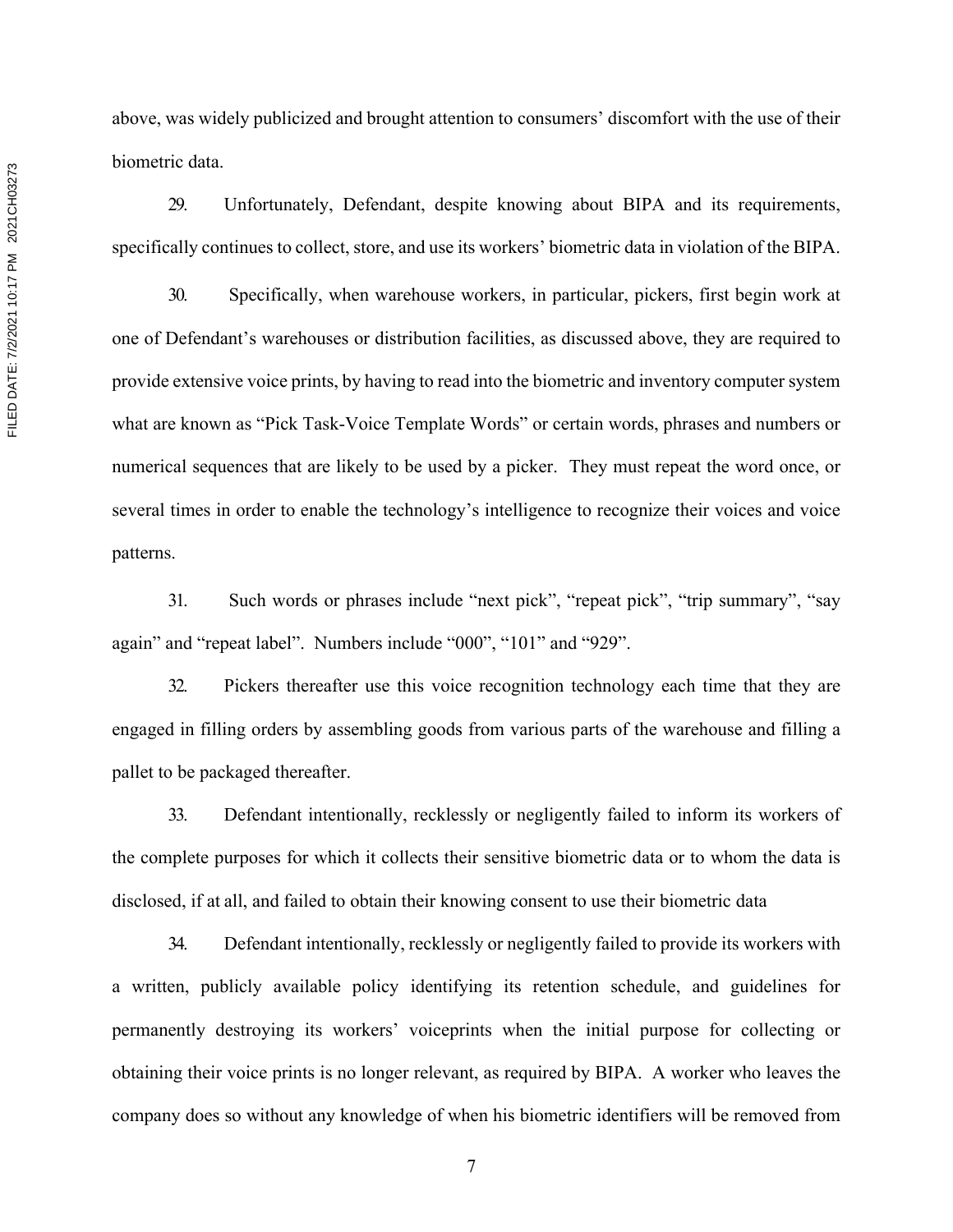FILED DATE: 7/2/2021 10:17 PM 2021CH03273 FILED DATE: 7/2/2021 10:17 PM 2021CH03273

above, was widely publicized and brought attention to consumers' discomfort with the use of their biometric data.

29. Unfortunately, Defendant, despite knowing about BIPA and its requirements, specifically continues to collect, store, and use its workers' biometric data in violation of the BIPA.

30. Specifically, when warehouse workers, in particular, pickers, first begin work at one of Defendant's warehouses or distribution facilities, as discussed above, they are required to provide extensive voice prints, by having to read into the biometric and inventory computer system what are known as "Pick Task-Voice Template Words" or certain words, phrases and numbers or numerical sequences that are likely to be used by a picker. They must repeat the word once, or several times in order to enable the technology's intelligence to recognize their voices and voice patterns.

31. Such words or phrases include "next pick", "repeat pick", "trip summary", "say again" and "repeat label". Numbers include "000", "101" and "929".

32. Pickers thereafter use this voice recognition technology each time that they are engaged in filling orders by assembling goods from various parts of the warehouse and filling a pallet to be packaged thereafter.

33. Defendant intentionally, recklessly or negligently failed to inform its workers of the complete purposes for which it collects their sensitive biometric data or to whom the data is disclosed, if at all, and failed to obtain their knowing consent to use their biometric data

34. Defendant intentionally, recklessly or negligently failed to provide its workers with a written, publicly available policy identifying its retention schedule, and guidelines for permanently destroying its workers' voiceprints when the initial purpose for collecting or obtaining their voice prints is no longer relevant, as required by BIPA. A worker who leaves the company does so without any knowledge of when his biometric identifiers will be removed from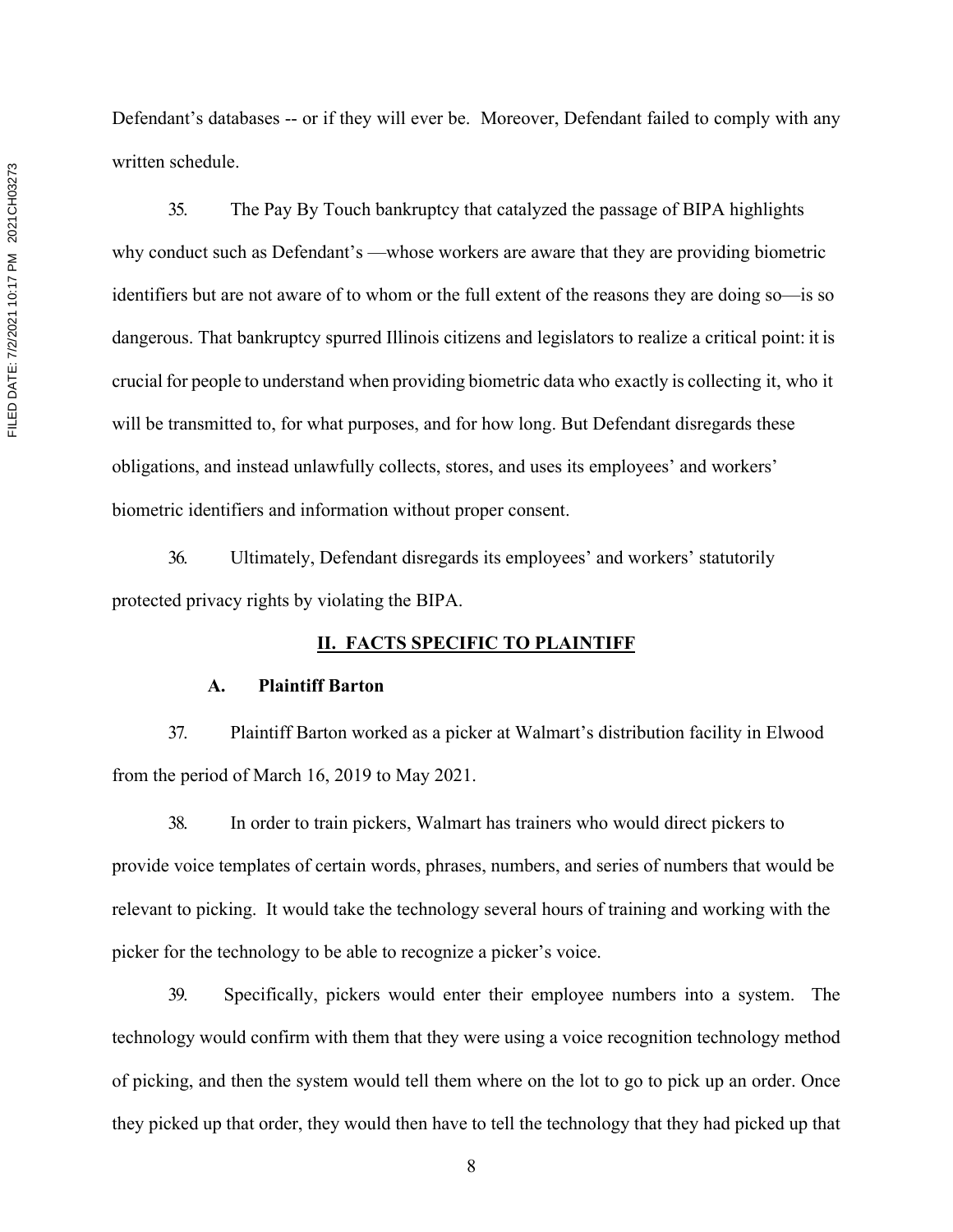Defendant's databases -- or if they will ever be. Moreover, Defendant failed to comply with any written schedule.

35. The Pay By Touch bankruptcy that catalyzed the passage of BIPA highlights why conduct such as Defendant's —whose workers are aware that they are providing biometric identifiers but are not aware of to whom or the full extent of the reasons they are doing so—is so dangerous. That bankruptcy spurred Illinois citizens and legislators to realize a critical point: it is crucial for people to understand when providing biometric data who exactly is collecting it, who it will be transmitted to, for what purposes, and for how long. But Defendant disregards these obligations, and instead unlawfully collects, stores, and uses its employees' and workers' biometric identifiers and information without proper consent.

36. Ultimately, Defendant disregards its employees' and workers' statutorily protected privacy rights by violating the BIPA.

# **II. FACTS SPECIFIC TO PLAINTIFF**

#### **A. Plaintiff Barton**

37. Plaintiff Barton worked as a picker at Walmart's distribution facility in Elwood from the period of March 16, 2019 to May 2021.

38. In order to train pickers, Walmart has trainers who would direct pickers to provide voice templates of certain words, phrases, numbers, and series of numbers that would be relevant to picking. It would take the technology several hours of training and working with the picker for the technology to be able to recognize a picker's voice.

39. Specifically, pickers would enter their employee numbers into a system. The technology would confirm with them that they were using a voice recognition technology method of picking, and then the system would tell them where on the lot to go to pick up an order. Once they picked up that order, they would then have to tell the technology that they had picked up that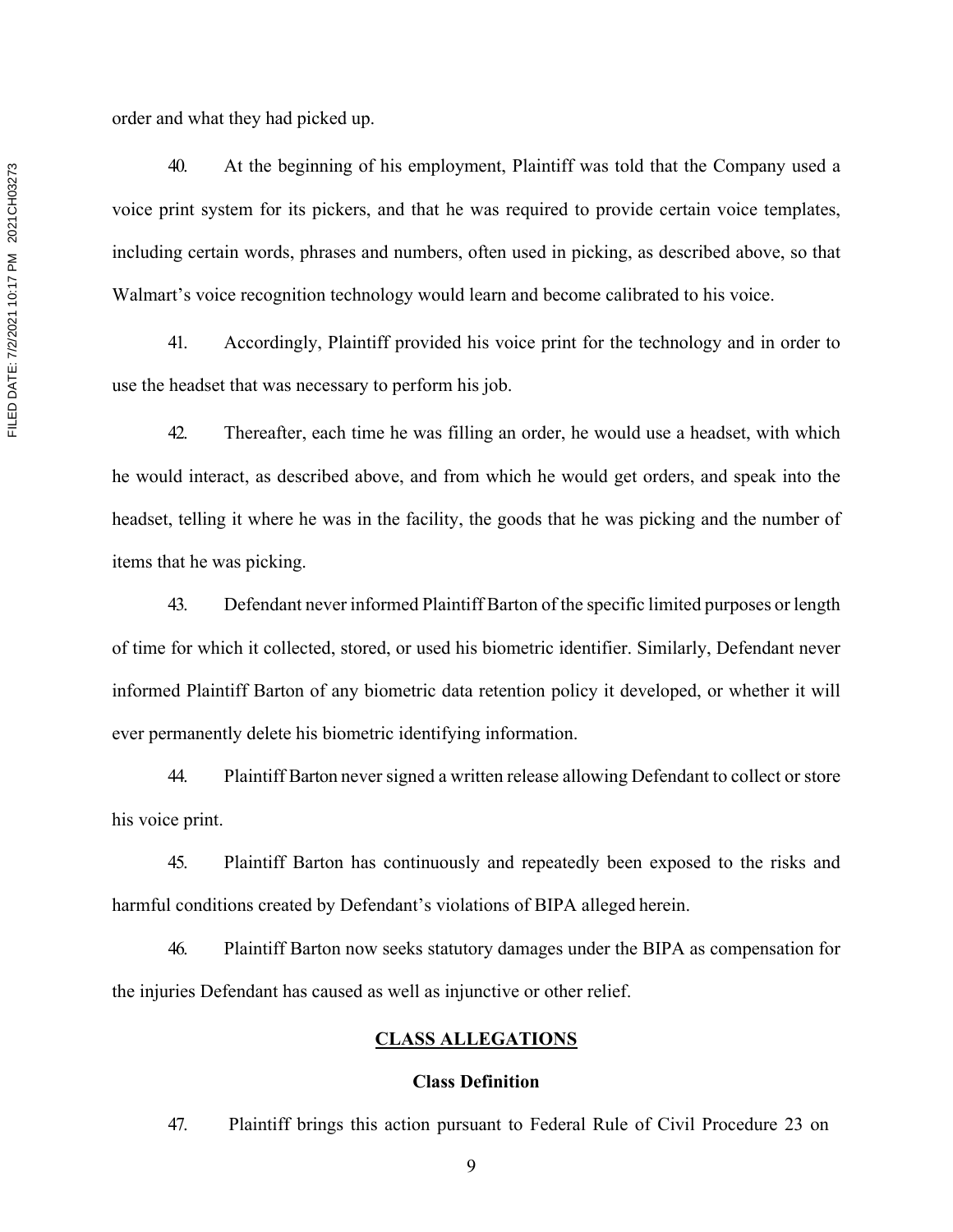order and what they had picked up.

40. At the beginning of his employment, Plaintiff was told that the Company used a voice print system for its pickers, and that he was required to provide certain voice templates, including certain words, phrases and numbers, often used in picking, as described above, so that Walmart's voice recognition technology would learn and become calibrated to his voice.

41. Accordingly, Plaintiff provided his voice print for the technology and in order to use the headset that was necessary to perform his job.

42. Thereafter, each time he was filling an order, he would use a headset, with which he would interact, as described above, and from which he would get orders, and speak into the headset, telling it where he was in the facility, the goods that he was picking and the number of items that he was picking.

43. Defendant never informed Plaintiff Barton of the specific limited purposes or length of time for which it collected, stored, or used his biometric identifier. Similarly, Defendant never informed Plaintiff Barton of any biometric data retention policy it developed, or whether it will ever permanently delete his biometric identifying information.

44. Plaintiff Barton never signed a written release allowing Defendant to collect or store his voice print.

45. Plaintiff Barton has continuously and repeatedly been exposed to the risks and harmful conditions created by Defendant's violations of BIPA alleged herein.

46. Plaintiff Barton now seeks statutory damages under the BIPA as compensation for the injuries Defendant has caused as well as injunctive or other relief.

## **CLASS ALLEGATIONS**

## **Class Definition**

47. Plaintiff brings this action pursuant to Federal Rule of Civil Procedure 23 on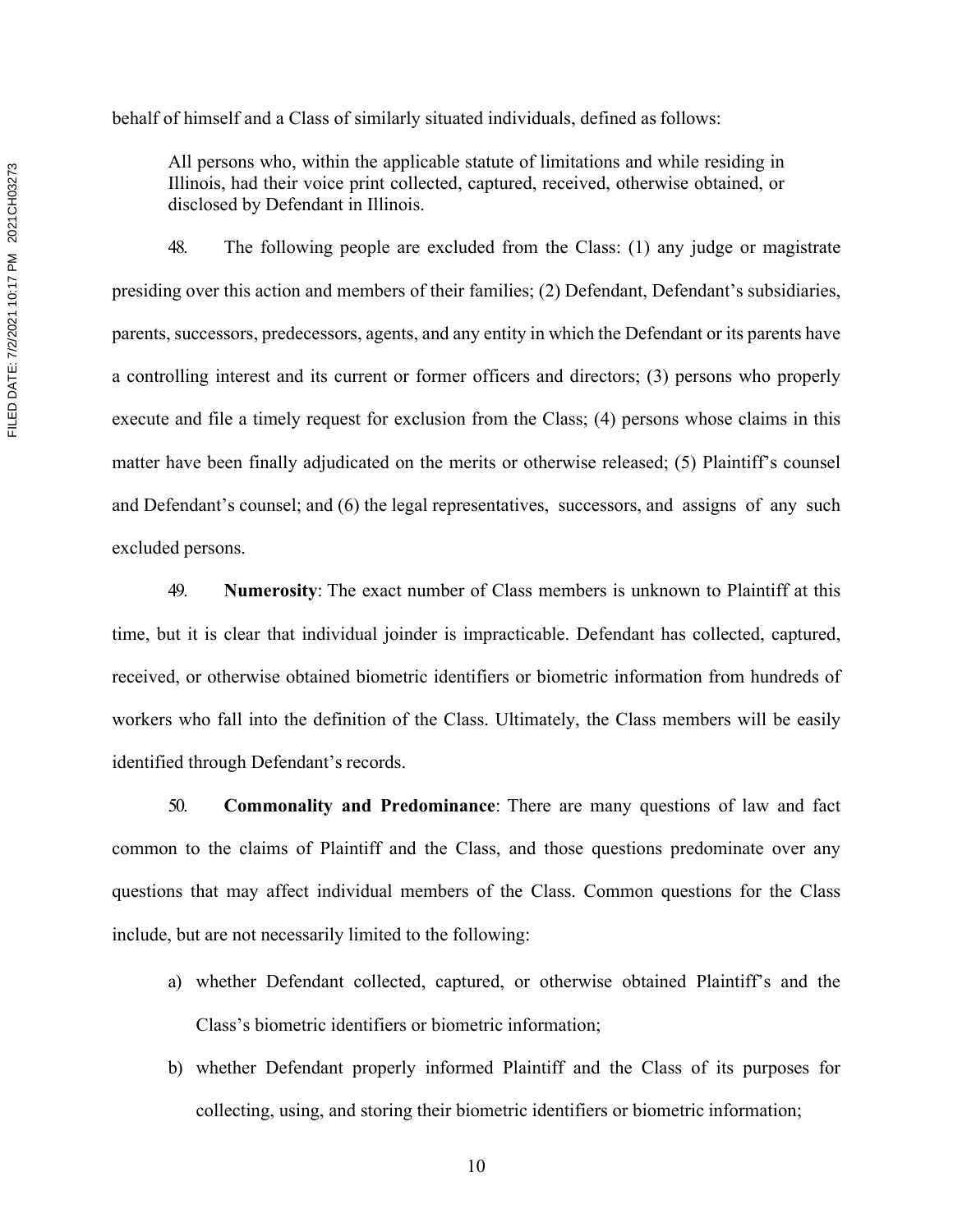behalf of himself and a Class of similarly situated individuals, defined as follows:

All persons who, within the applicable statute of limitations and while residing in Illinois, had their voice print collected, captured, received, otherwise obtained, or disclosed by Defendant in Illinois.

48. The following people are excluded from the Class: (1) any judge or magistrate presiding over this action and members of their families; (2) Defendant, Defendant's subsidiaries, parents, successors, predecessors, agents, and any entity in which the Defendant or its parents have a controlling interest and its current or former officers and directors; (3) persons who properly execute and file a timely request for exclusion from the Class; (4) persons whose claims in this matter have been finally adjudicated on the merits or otherwise released; (5) Plaintiff's counsel and Defendant's counsel; and (6) the legal representatives, successors, and assigns of any such excluded persons.

49. **Numerosity**: The exact number of Class members is unknown to Plaintiff at this time, but it is clear that individual joinder is impracticable. Defendant has collected, captured, received, or otherwise obtained biometric identifiers or biometric information from hundreds of workers who fall into the definition of the Class. Ultimately, the Class members will be easily identified through Defendant's records.

50. **Commonality and Predominance**: There are many questions of law and fact common to the claims of Plaintiff and the Class, and those questions predominate over any questions that may affect individual members of the Class. Common questions for the Class include, but are not necessarily limited to the following:

- a) whether Defendant collected, captured, or otherwise obtained Plaintiff's and the Class's biometric identifiers or biometric information;
- b) whether Defendant properly informed Plaintiff and the Class of its purposes for collecting, using, and storing their biometric identifiers or biometric information;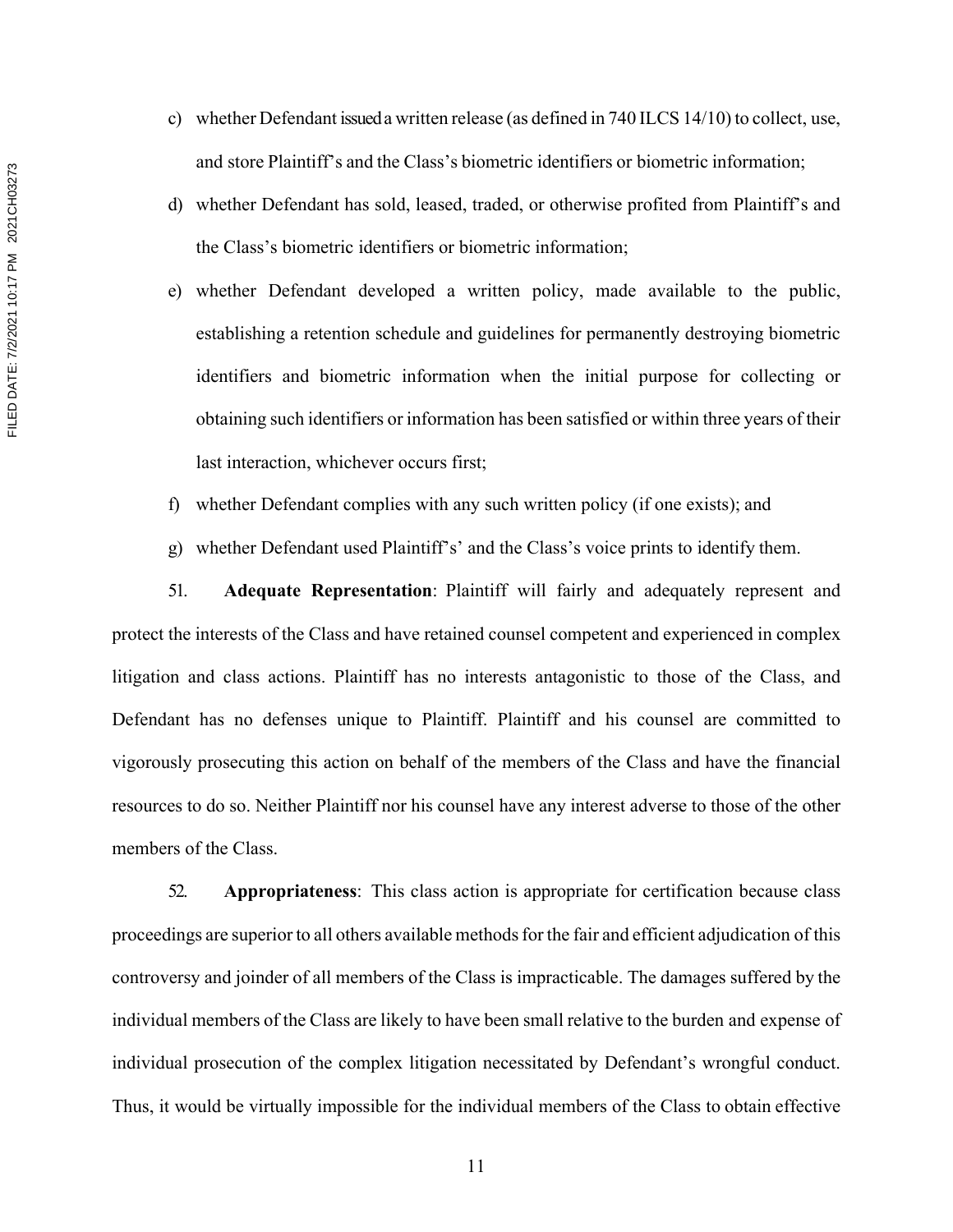- c) whether Defendant issued a written release (as defined in 740 ILCS 14/10) to collect, use, and store Plaintiff's and the Class's biometric identifiers or biometric information;
- d) whether Defendant has sold, leased, traded, or otherwise profited from Plaintiff's and the Class's biometric identifiers or biometric information;
- e) whether Defendant developed a written policy, made available to the public, establishing a retention schedule and guidelines for permanently destroying biometric identifiers and biometric information when the initial purpose for collecting or obtaining such identifiers or information has been satisfied or within three years of their last interaction, whichever occurs first;
- f) whether Defendant complies with any such written policy (if one exists); and
- g) whether Defendant used Plaintiff's' and the Class's voice prints to identify them.

51. **Adequate Representation**: Plaintiff will fairly and adequately represent and protect the interests of the Class and have retained counsel competent and experienced in complex litigation and class actions. Plaintiff has no interests antagonistic to those of the Class, and Defendant has no defenses unique to Plaintiff. Plaintiff and his counsel are committed to vigorously prosecuting this action on behalf of the members of the Class and have the financial resources to do so. Neither Plaintiff nor his counsel have any interest adverse to those of the other members of the Class.

52. **Appropriateness**: This class action is appropriate for certification because class proceedings are superior to all others available methods for the fair and efficient adjudication of this controversy and joinder of all members of the Class is impracticable. The damages suffered by the individual members of the Class are likely to have been small relative to the burden and expense of individual prosecution of the complex litigation necessitated by Defendant's wrongful conduct. Thus, it would be virtually impossible for the individual members of the Class to obtain effective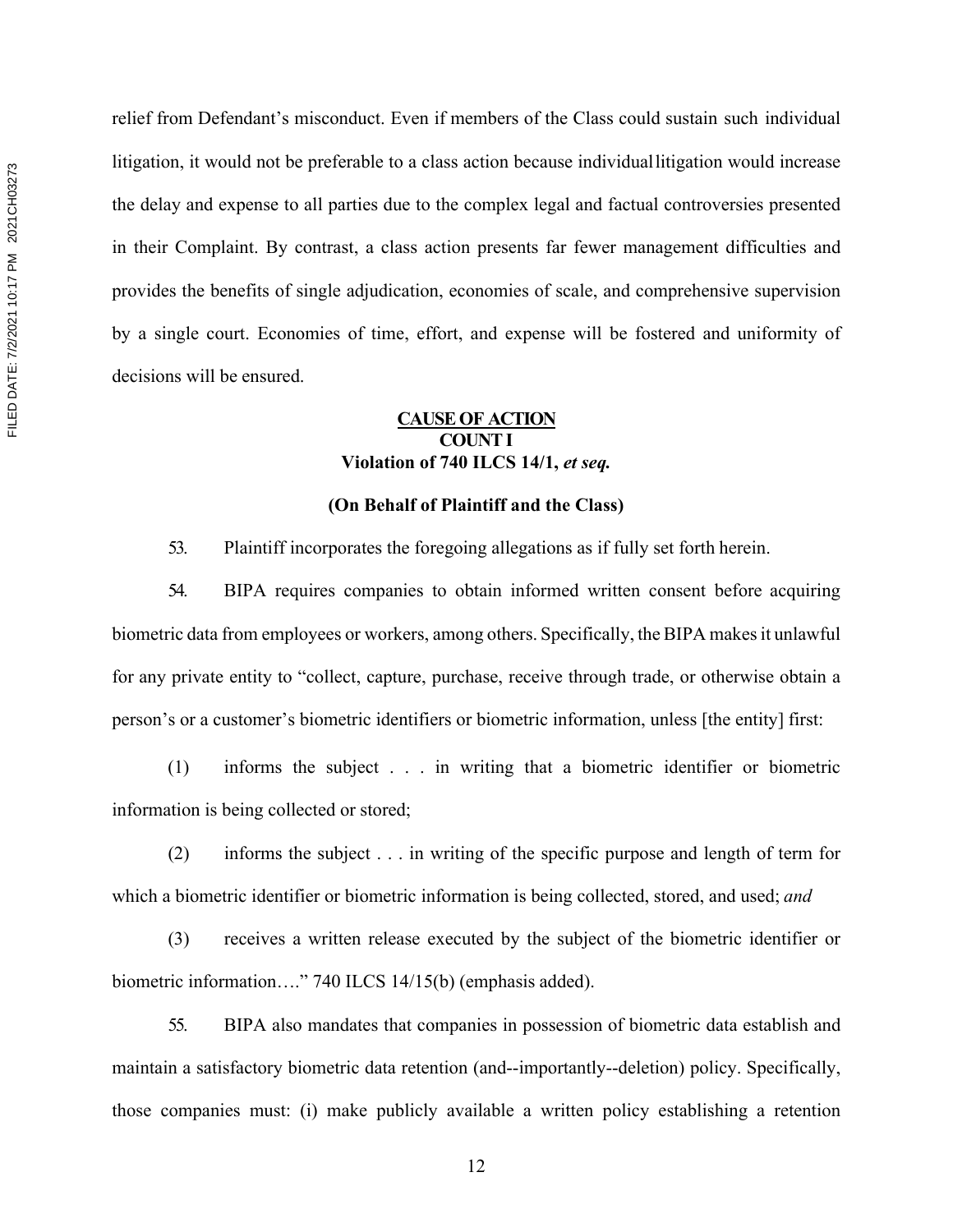relief from Defendant's misconduct. Even if members of the Class could sustain such individual litigation, it would not be preferable to a class action because individuallitigation would increase the delay and expense to all parties due to the complex legal and factual controversies presented in their Complaint. By contrast, a class action presents far fewer management difficulties and provides the benefits of single adjudication, economies of scale, and comprehensive supervision by a single court. Economies of time, effort, and expense will be fostered and uniformity of decisions will be ensured.

# **CAUSE OF ACTION COUNT I Violation of 740 ILCS 14/1,** *et seq.*

## **(On Behalf of Plaintiff and the Class)**

53. Plaintiff incorporates the foregoing allegations as if fully set forth herein.

54. BIPA requires companies to obtain informed written consent before acquiring biometric data from employees or workers, among others. Specifically, the BIPA makesit unlawful for any private entity to "collect, capture, purchase, receive through trade, or otherwise obtain a person's or a customer's biometric identifiers or biometric information, unless [the entity] first:

(1) informs the subject . . . in writing that a biometric identifier or biometric information is being collected or stored;

(2) informs the subject . . . in writing of the specific purpose and length of term for which a biometric identifier or biometric information is being collected, stored, and used; *and* 

(3) receives a written release executed by the subject of the biometric identifier or biometric information…." 740 ILCS 14/15(b) (emphasis added).

55. BIPA also mandates that companies in possession of biometric data establish and maintain a satisfactory biometric data retention (and--importantly--deletion) policy. Specifically, those companies must: (i) make publicly available a written policy establishing a retention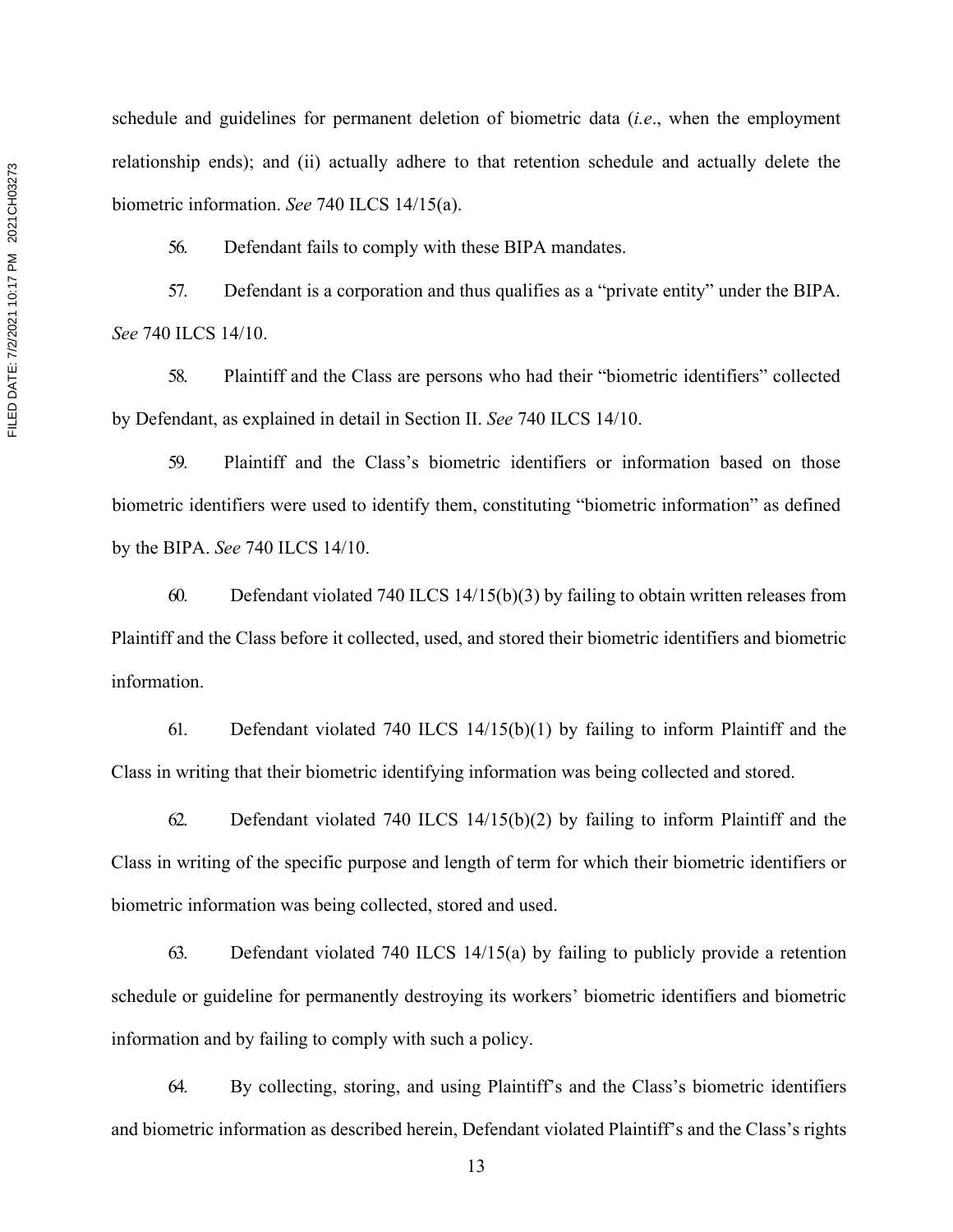schedule and guidelines for permanent deletion of biometric data (*i.e*., when the employment relationship ends); and (ii) actually adhere to that retention schedule and actually delete the biometric information. *See* 740 ILCS 14/15(a).

56. Defendant fails to comply with these BIPA mandates.

57. Defendant is a corporation and thus qualifies as a "private entity" under the BIPA. *See* 740 ILCS 14/10.

58. Plaintiff and the Class are persons who had their "biometric identifiers" collected by Defendant, as explained in detail in Section II. *See* 740 ILCS 14/10.

59. Plaintiff and the Class's biometric identifiers or information based on those biometric identifiers were used to identify them, constituting "biometric information" as defined by the BIPA. *See* 740 ILCS 14/10.

60. Defendant violated 740 ILCS  $14/15(b)(3)$  by failing to obtain written releases from Plaintiff and the Class before it collected, used, and stored their biometric identifiers and biometric information.

61. Defendant violated 740 ILCS 14/15(b)(1) by failing to inform Plaintiff and the Class in writing that their biometric identifying information was being collected and stored.

62. Defendant violated 740 ILCS 14/15(b)(2) by failing to inform Plaintiff and the Class in writing of the specific purpose and length of term for which their biometric identifiers or biometric information was being collected, stored and used.

63. Defendant violated 740 ILCS 14/15(a) by failing to publicly provide a retention schedule or guideline for permanently destroying its workers' biometric identifiers and biometric information and by failing to comply with such a policy.

64. By collecting, storing, and using Plaintiff's and the Class's biometric identifiers and biometric information as described herein, Defendant violated Plaintiff's and the Class's rights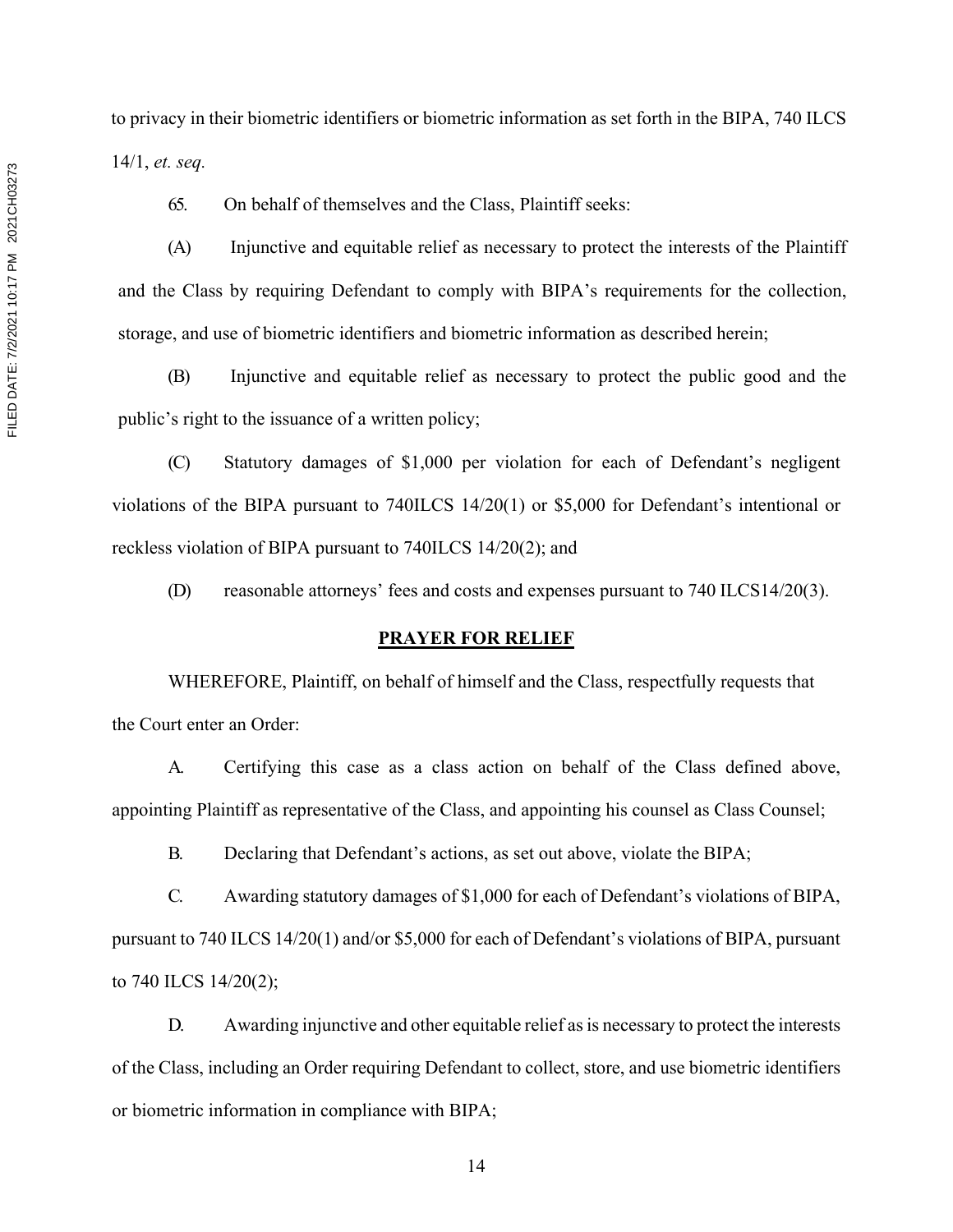to privacy in their biometric identifiers or biometric information as set forth in the BIPA, 740 ILCS 14/1, *et. seq.*

65. On behalf of themselves and the Class, Plaintiff seeks:

(A) Injunctive and equitable relief as necessary to protect the interests of the Plaintiff and the Class by requiring Defendant to comply with BIPA's requirements for the collection, storage, and use of biometric identifiers and biometric information as described herein;

(B) Injunctive and equitable relief as necessary to protect the public good and the public's right to the issuance of a written policy;

(C) Statutory damages of \$1,000 per violation for each of Defendant's negligent violations of the BIPA pursuant to 740ILCS 14/20(1) or \$5,000 for Defendant's intentional or reckless violation of BIPA pursuant to 740ILCS 14/20(2); and

(D) reasonable attorneys' fees and costs and expenses pursuant to 740 ILCS14/20(3).

### **PRAYER FOR RELIEF**

WHEREFORE, Plaintiff, on behalf of himself and the Class, respectfully requests that the Court enter an Order:

A. Certifying this case as a class action on behalf of the Class defined above, appointing Plaintiff as representative of the Class, and appointing his counsel as Class Counsel;

B. Declaring that Defendant's actions, as set out above, violate the BIPA;

C. Awarding statutory damages of \$1,000 for each of Defendant's violations of BIPA, pursuant to 740 ILCS 14/20(1) and/or \$5,000 for each of Defendant's violations of BIPA, pursuant to 740 ILCS 14/20(2);

D. Awarding injunctive and other equitable relief as is necessary to protect the interests of the Class, including an Order requiring Defendant to collect, store, and use biometric identifiers or biometric information in compliance with BIPA;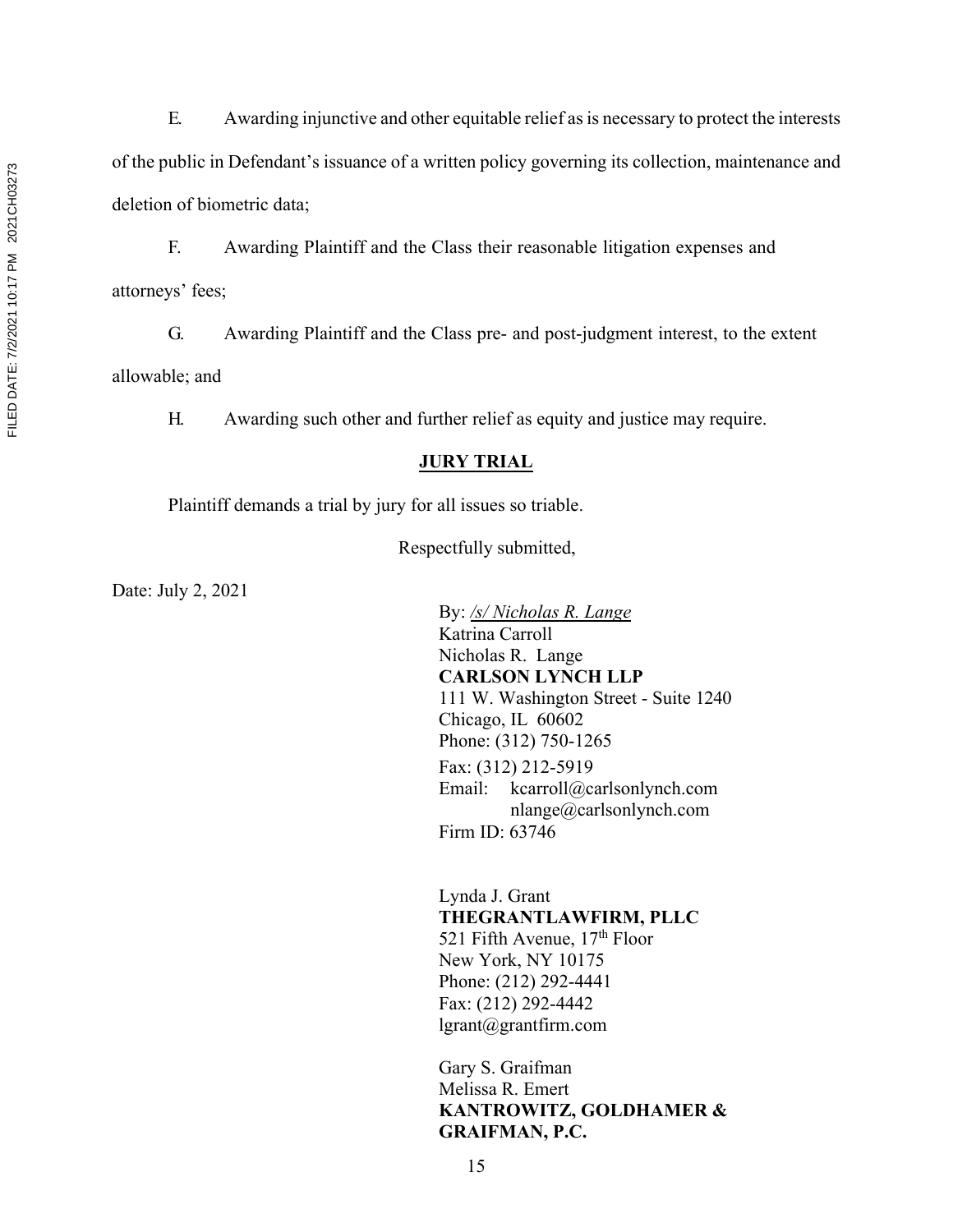FILED DATE: 7/2/2021 10:17 PM 2021 CH03273 FILED DATE: 7/2/2021 10:17 PM 2021CH03273

allowable; and

G. Awarding Plaintiff and the Class pre- and post-judgment interest, to the extent

E. Awarding injunctive and other equitable relief as is necessary to protect the interests

of the public in Defendant's issuance of a written policy governing its collection, maintenance and

F. Awarding Plaintiff and the Class their reasonable litigation expenses and

H. Awarding such other and further relief as equity and justice may require.

# **JURY TRIAL**

Plaintiff demands a trial by jury for all issues so triable.

Respectfully submitted,

Date: July 2, 2021

deletion of biometric data;

attorneys' fees;

By: */s/ Nicholas R. Lange*  Katrina Carroll Nicholas R. Lange **CARLSON LYNCH LLP** 111 W. Washington Street - Suite 1240 Chicago, IL 60602 Phone: (312) 750-1265 Fax: (312) 212-5919 Email: kcarroll@carlsonlynch.com nlange@carlsonlynch.com Firm ID: 63746

Lynda J. Grant **THEGRANTLAWFIRM, PLLC** 521 Fifth Avenue,  $17<sup>th</sup>$  Floor New York, NY 10175 Phone: (212) 292-4441 Fax: (212) 292-4442 lgrant@grantfirm.com

Gary S. Graifman Melissa R. Emert **KANTROWITZ, GOLDHAMER & GRAIFMAN, P.C.**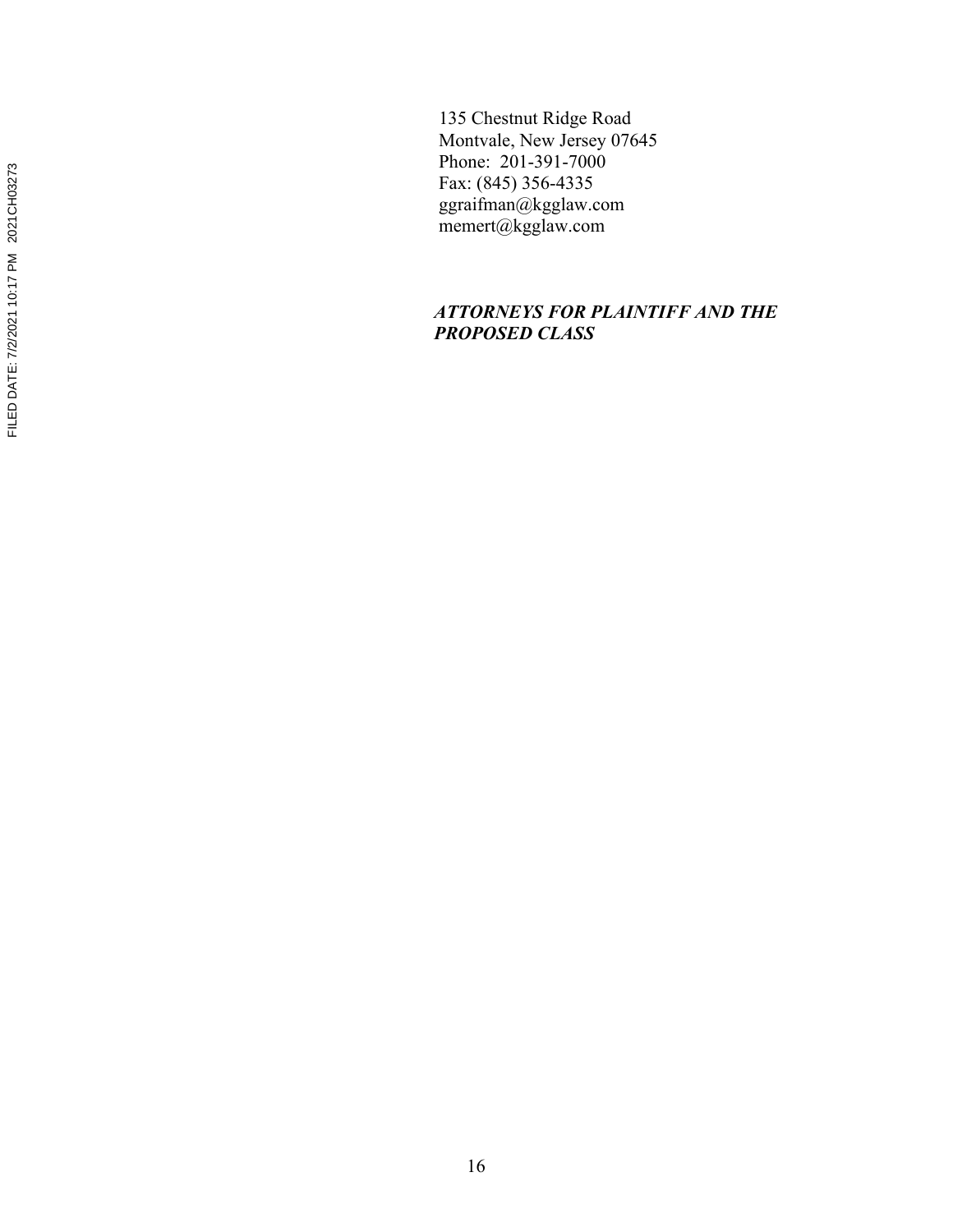135 Chestnut Ridge Road Montvale, New Jersey 07645 Phone: 201-391-7000 Fax: (845) 356-4335 ggraifman@kgglaw.com memert@kgglaw.com

# *ATTORNEYS FOR PLAINTIFF AND THE PROPOSED CLASS*